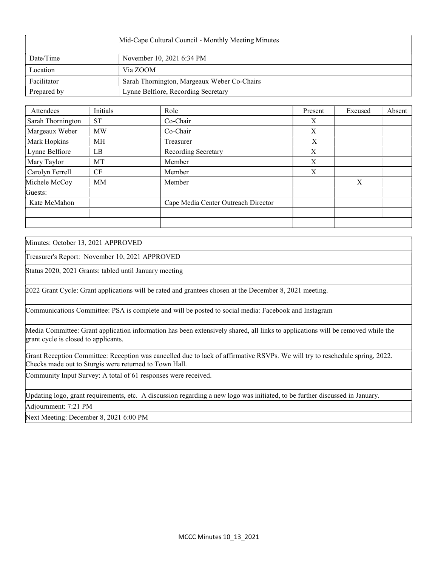| Mid-Cape Cultural Council - Monthly Meeting Minutes |                                             |  |  |  |
|-----------------------------------------------------|---------------------------------------------|--|--|--|
| Date/Time                                           | November 10, 2021 6:34 PM                   |  |  |  |
| Location                                            | Via ZOOM                                    |  |  |  |
| Facilitator                                         | Sarah Thornington, Margeaux Weber Co-Chairs |  |  |  |
| Prepared by                                         | Lynne Belfiore, Recording Secretary         |  |  |  |

| Attendees         | Initials  | Role                                | Present | Excused | Absent |
|-------------------|-----------|-------------------------------------|---------|---------|--------|
| Sarah Thornington | <b>ST</b> | Co-Chair                            | X       |         |        |
| Margeaux Weber    | <b>MW</b> | Co-Chair                            | X       |         |        |
| Mark Hopkins      | МH        | Treasurer                           | X       |         |        |
| Lynne Belfiore    | LB        | Recording Secretary                 | X       |         |        |
| Mary Taylor       | MT        | Member                              | X       |         |        |
| Carolyn Ferrell   | CF        | Member                              | X       |         |        |
| Michele McCoy     | <b>MM</b> | Member                              |         | X       |        |
| Guests:           |           |                                     |         |         |        |
| Kate McMahon      |           | Cape Media Center Outreach Director |         |         |        |
|                   |           |                                     |         |         |        |
|                   |           |                                     |         |         |        |

Minutes: October 13, 2021 APPROVED

Treasurer's Report: November 10, 2021 APPROVED

Status 2020, 2021 Grants: tabled until January meeting

2022 Grant Cycle: Grant applications will be rated and grantees chosen at the December 8, 2021 meeting.

Communications Committee: PSA is complete and will be posted to social media: Facebook and Instagram

Media Committee: Grant application information has been extensively shared, all links to applications will be removed while the grant cycle is closed to applicants.

Grant Reception Committee: Reception was cancelled due to lack of affirmative RSVPs. We will try to reschedule spring, 2022. Checks made out to Sturgis were returned to Town Hall.

Community Input Survey: A total of 61 responses were received.

Updating logo, grant requirements, etc. A discussion regarding a new logo was initiated, to be further discussed in January.

Adjournment: 7:21 PM

Next Meeting: December 8, 2021 6:00 PM